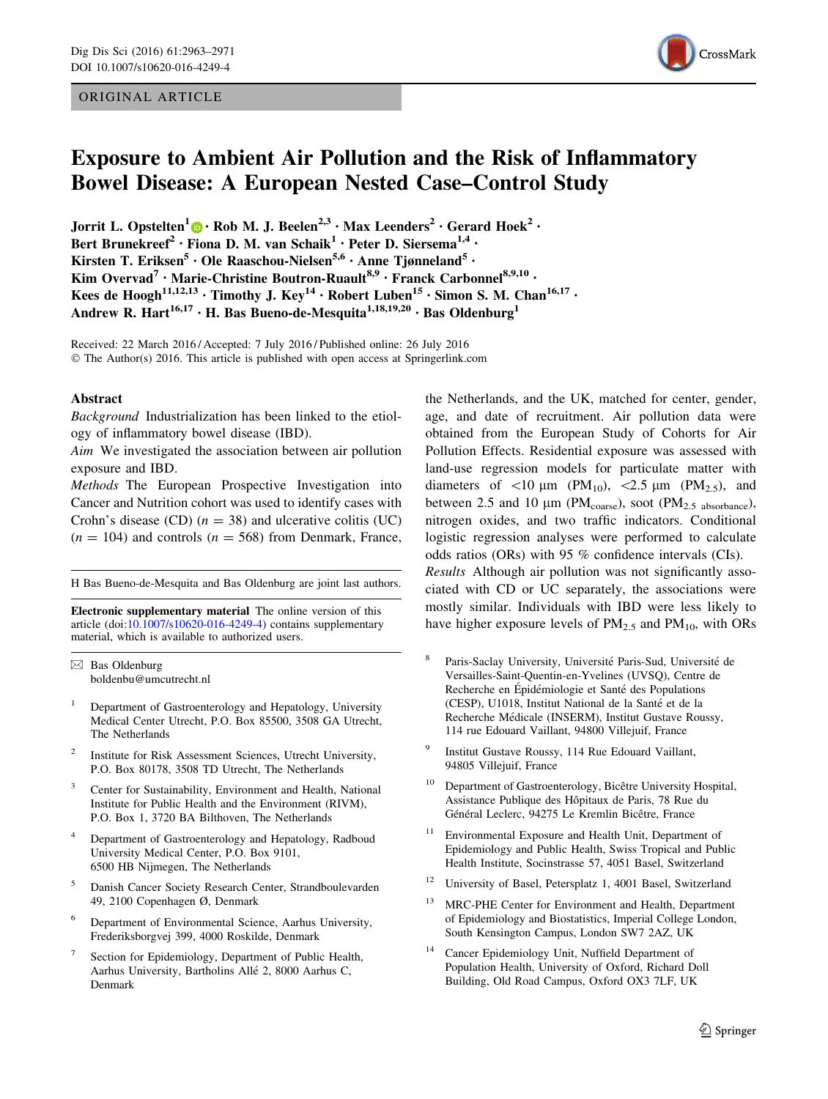## ORIGINAL ARTICLE



# Exposure to Ambient Air Pollution and the Risk of Inflammatory Bowel Disease: A European Nested Case–Control Study

Jorrit L. Opstelten<sup>1</sup>  $\mathbf{D} \cdot$  Rob M. J. Beelen<sup>2,3</sup>  $\cdot$  Max Leenders<sup>2</sup>  $\cdot$  Gerard Hoek<sup>2</sup>  $\cdot$ Bert Brunekreef<sup>2</sup> · Fiona D. M. van Schaik<sup>1</sup> · Peter D. Siersema<sup>1,4</sup> · Kirsten T. Eriksen<sup>5</sup> · Ole Raaschou-Nielsen<sup>5,6</sup> · Anne Tjønneland<sup>5</sup> · Kim Overvad<sup>7</sup> • Marie-Christine Boutron-Ruault<sup>8,9</sup> • Franck Carbonnel<sup>8,9,10</sup> • Kees de Hoogh<sup>11,12,13</sup> • Timothy J. Key<sup>14</sup> • Robert Luben<sup>15</sup> • Simon S. M. Chan<sup>16,17</sup> • Andrew R. Hart<sup>16,17</sup> • H. Bas Bueno-de-Mesquita<sup>1,18,19,20</sup> • Bas Oldenburg<sup>1</sup>

Received: 22 March 2016 / Accepted: 7 July 2016 / Published online: 26 July 2016 © The Author(s) 2016. This article is published with open access at Springerlink.com

#### Abstract

Background Industrialization has been linked to the etiology of inflammatory bowel disease (IBD).

Aim We investigated the association between air pollution exposure and IBD.

Methods The European Prospective Investigation into Cancer and Nutrition cohort was used to identify cases with Crohn's disease (CD)  $(n = 38)$  and ulcerative colitis (UC)  $(n = 104)$  and controls  $(n = 568)$  from Denmark, France,

H Bas Bueno-de-Mesquita and Bas Oldenburg are joint last authors.

Electronic supplementary material The online version of this article (doi:[10.1007/s10620-016-4249-4\)](http://dx.doi.org/10.1007/s10620-016-4249-4) contains supplementary material, which is available to authorized users.

 $\boxtimes$  Bas Oldenburg boldenbu@umcutrecht.nl

- <sup>1</sup> Department of Gastroenterology and Hepatology, University Medical Center Utrecht, P.O. Box 85500, 3508 GA Utrecht, The Netherlands
- <sup>2</sup> Institute for Risk Assessment Sciences, Utrecht University, P.O. Box 80178, 3508 TD Utrecht, The Netherlands
- Center for Sustainability, Environment and Health, National Institute for Public Health and the Environment (RIVM), P.O. Box 1, 3720 BA Bilthoven, The Netherlands
- <sup>4</sup> Department of Gastroenterology and Hepatology, Radboud University Medical Center, P.O. Box 9101, 6500 HB Nijmegen, The Netherlands
- <sup>5</sup> Danish Cancer Society Research Center, Strandboulevarden 49, 2100 Copenhagen Ø, Denmark
- Department of Environmental Science, Aarhus University, Frederiksborgvej 399, 4000 Roskilde, Denmark
- Section for Epidemiology, Department of Public Health, Aarhus University, Bartholins Allé 2, 8000 Aarhus C, Denmark

the Netherlands, and the UK, matched for center, gender, age, and date of recruitment. Air pollution data were obtained from the European Study of Cohorts for Air Pollution Effects. Residential exposure was assessed with land-use regression models for particulate matter with diameters of  $\langle 10 \mu m \ (PM_{10})$ ,  $\langle 2.5 \mu m \ (PM_{2.5})$ , and between 2.5 and 10  $\mu$ m (PM<sub>coarse</sub>), soot (PM<sub>2.5 absorbance</sub>), nitrogen oxides, and two traffic indicators. Conditional logistic regression analyses were performed to calculate odds ratios (ORs) with 95 % confidence intervals (CIs). Results Although air pollution was not significantly associated with CD or UC separately, the associations were mostly similar. Individuals with IBD were less likely to have higher exposure levels of  $PM_{2.5}$  and  $PM_{10}$ , with ORs

- Paris-Saclay University, Université Paris-Sud, Université de Versailles-Saint-Quentin-en-Yvelines (UVSQ), Centre de Recherche en Épidémiologie et Santé des Populations (CESP), U1018, Institut National de la Santé et de la Recherche Médicale (INSERM), Institut Gustave Roussy, 114 rue Edouard Vaillant, 94800 Villejuif, France
- <sup>9</sup> Institut Gustave Roussy, 114 Rue Edouard Vaillant, 94805 Villejuif, France
- Department of Gastroenterology, Bicêtre University Hospital, Assistance Publique des Hôpitaux de Paris, 78 Rue du Général Leclerc, 94275 Le Kremlin Bicêtre, France
- <sup>11</sup> Environmental Exposure and Health Unit, Department of Epidemiology and Public Health, Swiss Tropical and Public Health Institute, Socinstrasse 57, 4051 Basel, Switzerland
- <sup>12</sup> University of Basel, Petersplatz 1, 4001 Basel, Switzerland
- <sup>13</sup> MRC-PHE Center for Environment and Health, Department of Epidemiology and Biostatistics, Imperial College London, South Kensington Campus, London SW7 2AZ, UK
- Cancer Epidemiology Unit, Nuffield Department of Population Health, University of Oxford, Richard Doll Building, Old Road Campus, Oxford OX3 7LF, UK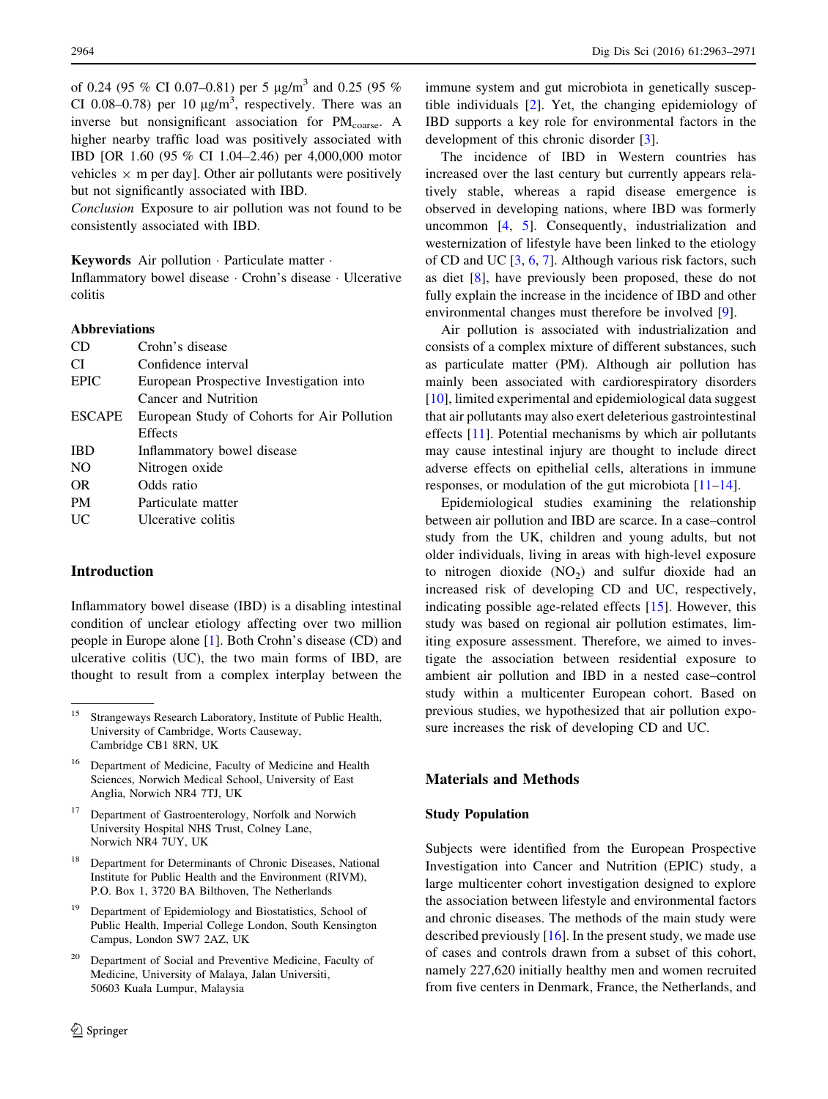of 0.24 (95 % CI 0.07–0.81) per 5  $\mu$ g/m<sup>3</sup> and 0.25 (95 % CI 0.08-0.78) per 10  $\mu$ g/m<sup>3</sup>, respectively. There was an inverse but nonsignificant association for  $PM_{\text{coarse}}$ . A higher nearby traffic load was positively associated with IBD [OR 1.60 (95 % CI 1.04–2.46) per 4,000,000 motor vehicles  $\times$  m per day]. Other air pollutants were positively but not significantly associated with IBD.

Conclusion Exposure to air pollution was not found to be consistently associated with IBD.

Keywords Air pollution - Particulate matter -

Inflammatory bowel disease - Crohn's disease - Ulcerative colitis

#### Abbreviations

| CD.           | Crohn's disease                             |
|---------------|---------------------------------------------|
| <b>CI</b>     | Confidence interval                         |
| <b>EPIC</b>   | European Prospective Investigation into     |
|               | Cancer and Nutrition                        |
| <b>ESCAPE</b> | European Study of Cohorts for Air Pollution |
|               | Effects                                     |
| <b>IBD</b>    | Inflammatory bowel disease                  |
| NO.           | Nitrogen oxide                              |
| OR.           | Odds ratio                                  |
| <b>PM</b>     | Particulate matter                          |
| <b>UC</b>     | Ulcerative colitis                          |
|               |                                             |

## Introduction

Inflammatory bowel disease (IBD) is a disabling intestinal condition of unclear etiology affecting over two million people in Europe alone [[1\]](#page-7-0). Both Crohn's disease (CD) and ulcerative colitis (UC), the two main forms of IBD, are thought to result from a complex interplay between the

- Department for Determinants of Chronic Diseases, National Institute for Public Health and the Environment (RIVM), P.O. Box 1, 3720 BA Bilthoven, The Netherlands
- <sup>19</sup> Department of Epidemiology and Biostatistics, School of Public Health, Imperial College London, South Kensington Campus, London SW7 2AZ, UK
- <sup>20</sup> Department of Social and Preventive Medicine, Faculty of Medicine, University of Malaya, Jalan Universiti, 50603 Kuala Lumpur, Malaysia

immune system and gut microbiota in genetically susceptible individuals [\[2](#page-7-0)]. Yet, the changing epidemiology of IBD supports a key role for environmental factors in the development of this chronic disorder [\[3](#page-7-0)].

The incidence of IBD in Western countries has increased over the last century but currently appears relatively stable, whereas a rapid disease emergence is observed in developing nations, where IBD was formerly uncommon [\[4](#page-7-0), [5\]](#page-7-0). Consequently, industrialization and westernization of lifestyle have been linked to the etiology of CD and UC [\[3](#page-7-0), [6](#page-7-0), [7](#page-7-0)]. Although various risk factors, such as diet [\[8](#page-7-0)], have previously been proposed, these do not fully explain the increase in the incidence of IBD and other environmental changes must therefore be involved [[9\]](#page-7-0).

Air pollution is associated with industrialization and consists of a complex mixture of different substances, such as particulate matter (PM). Although air pollution has mainly been associated with cardiorespiratory disorders [\[10](#page-7-0)], limited experimental and epidemiological data suggest that air pollutants may also exert deleterious gastrointestinal effects [\[11](#page-7-0)]. Potential mechanisms by which air pollutants may cause intestinal injury are thought to include direct adverse effects on epithelial cells, alterations in immune responses, or modulation of the gut microbiota [\[11](#page-7-0)[–14](#page-8-0)].

Epidemiological studies examining the relationship between air pollution and IBD are scarce. In a case–control study from the UK, children and young adults, but not older individuals, living in areas with high-level exposure to nitrogen dioxide  $(NO<sub>2</sub>)$  and sulfur dioxide had an increased risk of developing CD and UC, respectively, indicating possible age-related effects [[15\]](#page-8-0). However, this study was based on regional air pollution estimates, limiting exposure assessment. Therefore, we aimed to investigate the association between residential exposure to ambient air pollution and IBD in a nested case–control study within a multicenter European cohort. Based on previous studies, we hypothesized that air pollution exposure increases the risk of developing CD and UC.

#### Materials and Methods

#### Study Population

Subjects were identified from the European Prospective Investigation into Cancer and Nutrition (EPIC) study, a large multicenter cohort investigation designed to explore the association between lifestyle and environmental factors and chronic diseases. The methods of the main study were described previously  $[16]$  $[16]$ . In the present study, we made use of cases and controls drawn from a subset of this cohort, namely 227,620 initially healthy men and women recruited from five centers in Denmark, France, the Netherlands, and

<sup>15</sup> Strangeways Research Laboratory, Institute of Public Health, University of Cambridge, Worts Causeway, Cambridge CB1 8RN, UK

<sup>16</sup> Department of Medicine, Faculty of Medicine and Health Sciences, Norwich Medical School, University of East Anglia, Norwich NR4 7TJ, UK

Department of Gastroenterology, Norfolk and Norwich University Hospital NHS Trust, Colney Lane, Norwich NR4 7UY, UK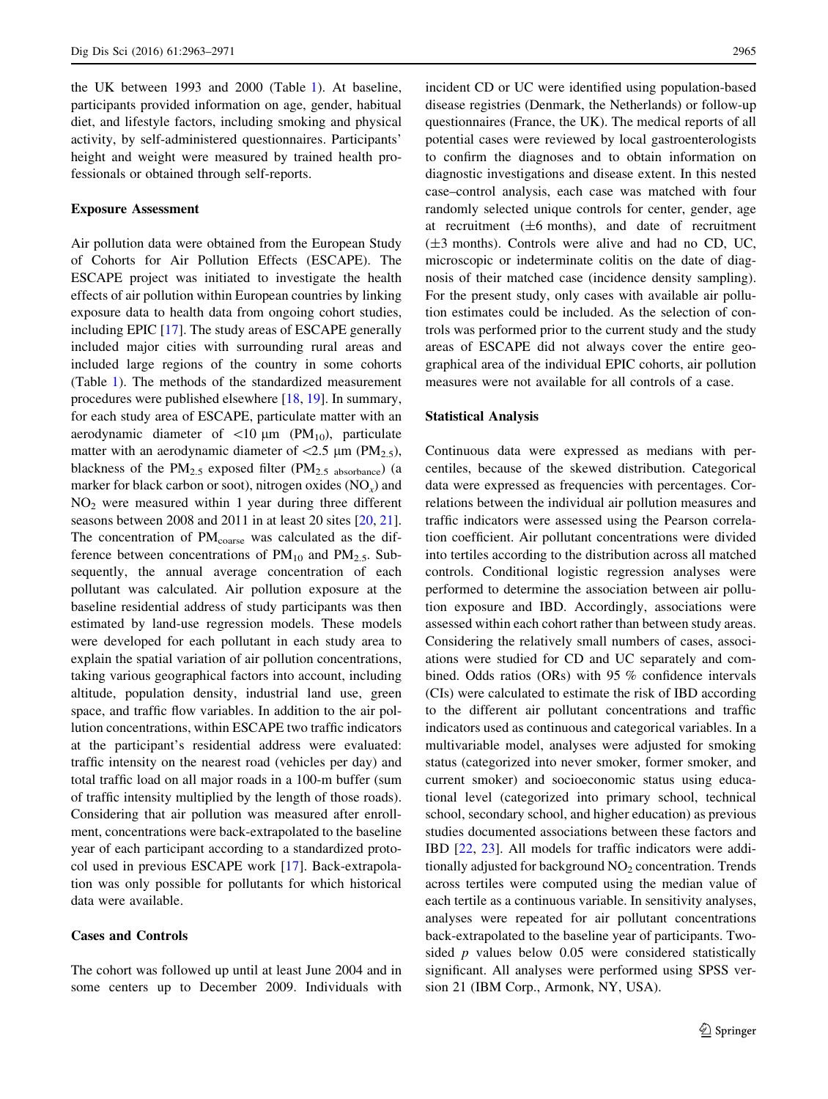the UK between 1993 and 2000 (Table [1](#page-3-0)). At baseline, participants provided information on age, gender, habitual diet, and lifestyle factors, including smoking and physical activity, by self-administered questionnaires. Participants' height and weight were measured by trained health professionals or obtained through self-reports.

#### Exposure Assessment

Air pollution data were obtained from the European Study of Cohorts for Air Pollution Effects (ESCAPE). The ESCAPE project was initiated to investigate the health effects of air pollution within European countries by linking exposure data to health data from ongoing cohort studies, including EPIC [[17\]](#page-8-0). The study areas of ESCAPE generally included major cities with surrounding rural areas and included large regions of the country in some cohorts (Table [1](#page-3-0)). The methods of the standardized measurement procedures were published elsewhere [[18,](#page-8-0) [19\]](#page-8-0). In summary, for each study area of ESCAPE, particulate matter with an aerodynamic diameter of  $\lt 10 \mu m$  (PM<sub>10</sub>), particulate matter with an aerodynamic diameter of  $\langle 2.5 \mu m (PM_{2.5}),$ blackness of the  $PM_{2.5}$  exposed filter ( $PM_{2.5}$  absorbance) (a marker for black carbon or soot), nitrogen oxides  $(NO<sub>x</sub>)$  and NO2 were measured within 1 year during three different seasons between 2008 and 2011 in at least 20 sites [\[20](#page-8-0), [21](#page-8-0)]. The concentration of  $PM_{coarse}$  was calculated as the difference between concentrations of  $PM_{10}$  and  $PM_{2.5}$ . Subsequently, the annual average concentration of each pollutant was calculated. Air pollution exposure at the baseline residential address of study participants was then estimated by land-use regression models. These models were developed for each pollutant in each study area to explain the spatial variation of air pollution concentrations, taking various geographical factors into account, including altitude, population density, industrial land use, green space, and traffic flow variables. In addition to the air pollution concentrations, within ESCAPE two traffic indicators at the participant's residential address were evaluated: traffic intensity on the nearest road (vehicles per day) and total traffic load on all major roads in a 100-m buffer (sum of traffic intensity multiplied by the length of those roads). Considering that air pollution was measured after enrollment, concentrations were back-extrapolated to the baseline year of each participant according to a standardized protocol used in previous ESCAPE work [\[17](#page-8-0)]. Back-extrapolation was only possible for pollutants for which historical data were available.

# Cases and Controls

The cohort was followed up until at least June 2004 and in some centers up to December 2009. Individuals with incident CD or UC were identified using population-based disease registries (Denmark, the Netherlands) or follow-up questionnaires (France, the UK). The medical reports of all potential cases were reviewed by local gastroenterologists to confirm the diagnoses and to obtain information on diagnostic investigations and disease extent. In this nested case–control analysis, each case was matched with four randomly selected unique controls for center, gender, age at recruitment  $(\pm 6 \text{ months})$ , and date of recruitment (±3 months). Controls were alive and had no CD, UC, microscopic or indeterminate colitis on the date of diagnosis of their matched case (incidence density sampling). For the present study, only cases with available air pollution estimates could be included. As the selection of controls was performed prior to the current study and the study areas of ESCAPE did not always cover the entire geographical area of the individual EPIC cohorts, air pollution measures were not available for all controls of a case.

#### Statistical Analysis

Continuous data were expressed as medians with percentiles, because of the skewed distribution. Categorical data were expressed as frequencies with percentages. Correlations between the individual air pollution measures and traffic indicators were assessed using the Pearson correlation coefficient. Air pollutant concentrations were divided into tertiles according to the distribution across all matched controls. Conditional logistic regression analyses were performed to determine the association between air pollution exposure and IBD. Accordingly, associations were assessed within each cohort rather than between study areas. Considering the relatively small numbers of cases, associations were studied for CD and UC separately and combined. Odds ratios (ORs) with 95 % confidence intervals (CIs) were calculated to estimate the risk of IBD according to the different air pollutant concentrations and traffic indicators used as continuous and categorical variables. In a multivariable model, analyses were adjusted for smoking status (categorized into never smoker, former smoker, and current smoker) and socioeconomic status using educational level (categorized into primary school, technical school, secondary school, and higher education) as previous studies documented associations between these factors and IBD [\[22](#page-8-0), [23](#page-8-0)]. All models for traffic indicators were additionally adjusted for background  $NO<sub>2</sub>$  concentration. Trends across tertiles were computed using the median value of each tertile as a continuous variable. In sensitivity analyses, analyses were repeated for air pollutant concentrations back-extrapolated to the baseline year of participants. Twosided *p* values below 0.05 were considered statistically significant. All analyses were performed using SPSS version 21 (IBM Corp., Armonk, NY, USA).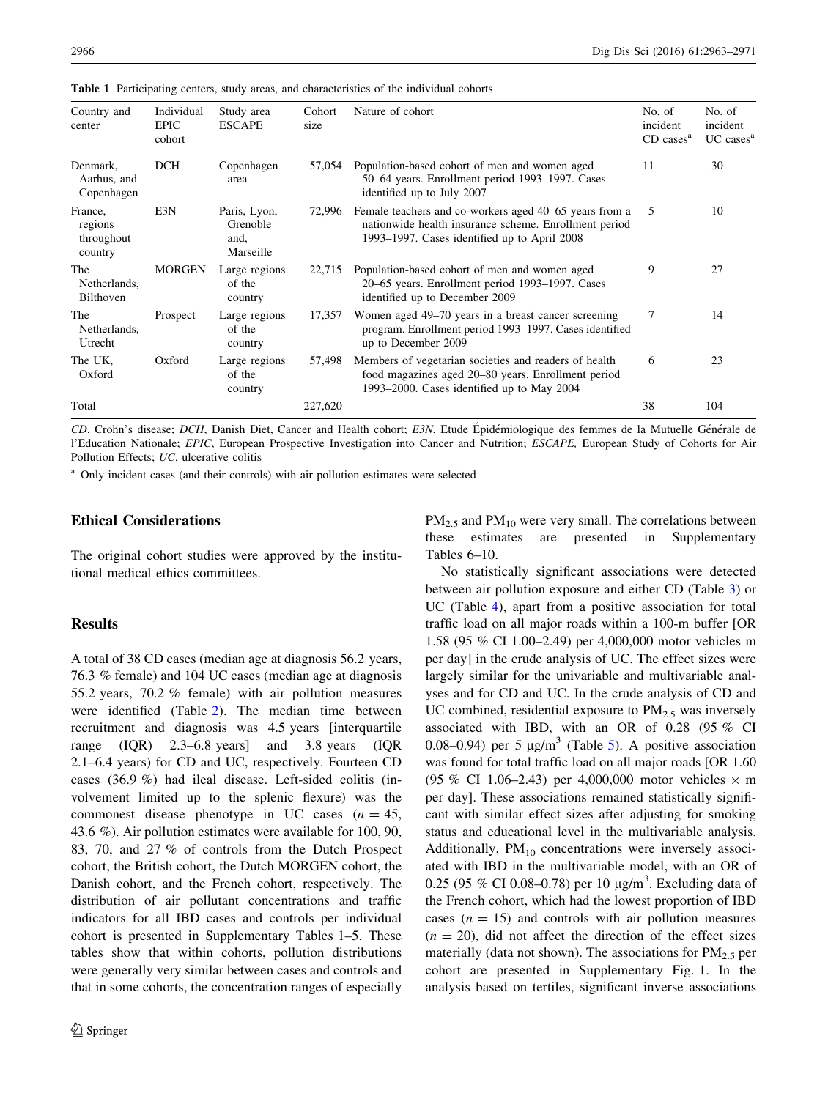| Country and<br>center                       | Individual<br><b>EPIC</b><br>cohort | Study area<br><b>ESCAPE</b>                   | Cohort<br>size | Nature of cohort                                                                                                                                                | No. of<br>incident<br>$CD \; \text{cases}^{\text{a}}$ | No. of<br>incident<br>$UC$ cases <sup>a</sup> |
|---------------------------------------------|-------------------------------------|-----------------------------------------------|----------------|-----------------------------------------------------------------------------------------------------------------------------------------------------------------|-------------------------------------------------------|-----------------------------------------------|
| Denmark,<br>Aarhus, and<br>Copenhagen       | <b>DCH</b>                          | Copenhagen<br>area                            | 57.054         | Population-based cohort of men and women aged<br>50-64 years. Enrollment period 1993-1997. Cases<br>identified up to July 2007                                  | 11                                                    | 30                                            |
| France,<br>regions<br>throughout<br>country | E3N                                 | Paris, Lyon,<br>Grenoble<br>and,<br>Marseille | 72,996         | Female teachers and co-workers aged 40–65 years from a<br>nationwide health insurance scheme. Enrollment period<br>1993–1997. Cases identified up to April 2008 | 5                                                     | 10                                            |
| The<br>Netherlands,<br>Bilthoven            | <b>MORGEN</b>                       | Large regions<br>of the<br>country            | 22,715         | Population-based cohort of men and women aged<br>20–65 years. Enrollment period 1993–1997. Cases<br>identified up to December 2009                              | 9                                                     | 27                                            |
| The<br>Netherlands,<br>Utrecht              | Prospect                            | Large regions<br>of the<br>country            | 17,357         | Women aged 49–70 years in a breast cancer screening<br>program. Enrollment period 1993–1997. Cases identified<br>up to December 2009                            | 7                                                     | 14                                            |
| The UK,<br>Oxford                           | Oxford                              | Large regions<br>of the<br>country            | 57,498         | Members of vegetarian societies and readers of health<br>food magazines aged 20–80 years. Enrollment period<br>1993–2000. Cases identified up to May 2004       | 6                                                     | 23                                            |
| Total                                       |                                     |                                               | 227,620        |                                                                                                                                                                 | 38                                                    | 104                                           |

<span id="page-3-0"></span>Table 1 Participating centers, study areas, and characteristics of the individual cohorts

CD, Crohn's disease; DCH, Danish Diet, Cancer and Health cohort; E3N, Etude Épidémiologique des femmes de la Mutuelle Générale de l'Education Nationale; EPIC, European Prospective Investigation into Cancer and Nutrition; ESCAPE, European Study of Cohorts for Air Pollution Effects; UC, ulcerative colitis

<sup>a</sup> Only incident cases (and their controls) with air pollution estimates were selected

# Ethical Considerations

The original cohort studies were approved by the institutional medical ethics committees.

## Results

A total of 38 CD cases (median age at diagnosis 56.2 years, 76.3 % female) and 104 UC cases (median age at diagnosis 55.2 years, 70.2 % female) with air pollution measures were identified (Table [2](#page-4-0)). The median time between recruitment and diagnosis was 4.5 years [interquartile range (IQR) 2.3–6.8 years] and 3.8 years (IQR 2.1–6.4 years) for CD and UC, respectively. Fourteen CD cases (36.9 %) had ileal disease. Left-sided colitis (involvement limited up to the splenic flexure) was the commonest disease phenotype in UC cases  $(n = 45)$ , 43.6 %). Air pollution estimates were available for 100, 90, 83, 70, and 27 % of controls from the Dutch Prospect cohort, the British cohort, the Dutch MORGEN cohort, the Danish cohort, and the French cohort, respectively. The distribution of air pollutant concentrations and traffic indicators for all IBD cases and controls per individual cohort is presented in Supplementary Tables 1–5. These tables show that within cohorts, pollution distributions were generally very similar between cases and controls and that in some cohorts, the concentration ranges of especially  $PM_{2.5}$  and  $PM_{10}$  were very small. The correlations between these estimates are presented in Supplementary Tables 6–10.

No statistically significant associations were detected between air pollution exposure and either CD (Table [3\)](#page-5-0) or UC (Table [4\)](#page-5-0), apart from a positive association for total traffic load on all major roads within a 100-m buffer [OR 1.58 (95 % CI 1.00–2.49) per 4,000,000 motor vehicles m per day] in the crude analysis of UC. The effect sizes were largely similar for the univariable and multivariable analyses and for CD and UC. In the crude analysis of CD and UC combined, residential exposure to  $PM_{2.5}$  was inversely associated with IBD, with an OR of 0.28 (95 % CI 0.08–0.94) per [5](#page-6-0)  $\mu$ g/m<sup>3</sup> (Table 5). A positive association was found for total traffic load on all major roads [OR 1.60 (95 % CI 1.06–2.43) per 4,000,000 motor vehicles  $\times$  m per day]. These associations remained statistically significant with similar effect sizes after adjusting for smoking status and educational level in the multivariable analysis. Additionally,  $PM_{10}$  concentrations were inversely associated with IBD in the multivariable model, with an OR of 0.25 (95 % CI 0.08-0.78) per 10  $\mu$ g/m<sup>3</sup>. Excluding data of the French cohort, which had the lowest proportion of IBD cases  $(n = 15)$  and controls with air pollution measures  $(n = 20)$ , did not affect the direction of the effect sizes materially (data not shown). The associations for  $PM_{2.5}$  per cohort are presented in Supplementary Fig. 1. In the analysis based on tertiles, significant inverse associations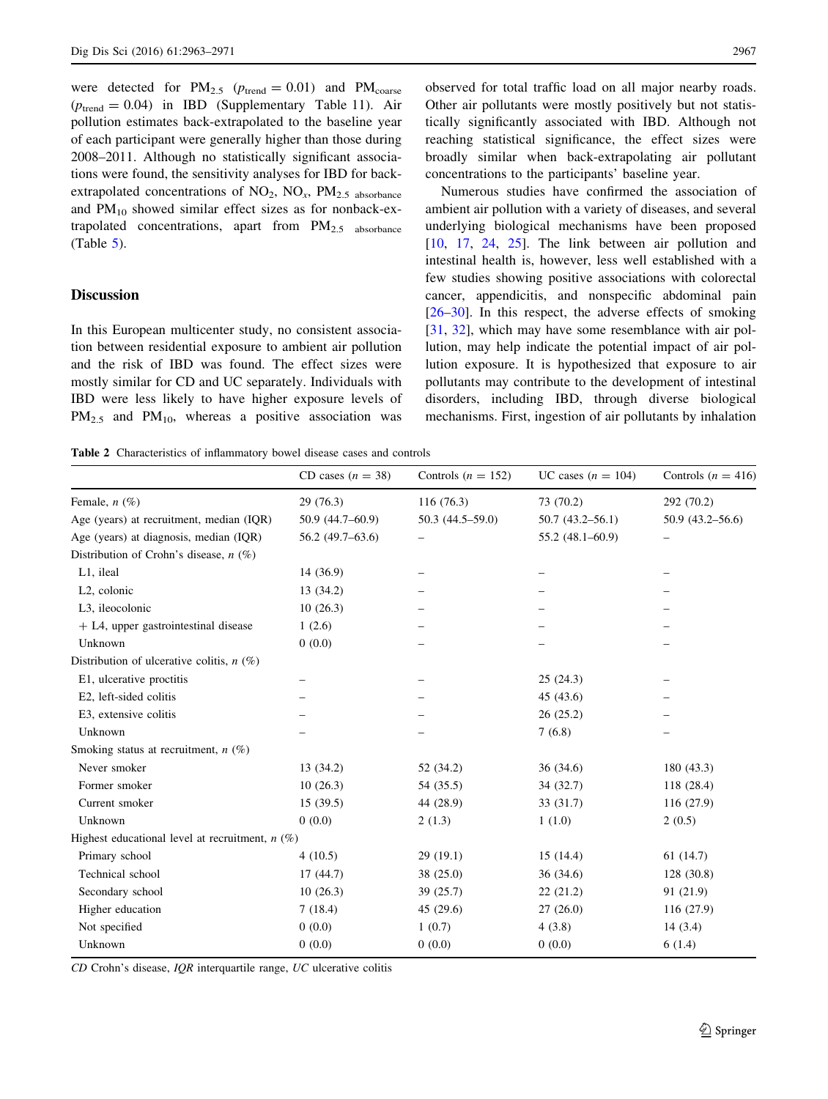<span id="page-4-0"></span>were detected for  $PM_{2.5}$  ( $p_{\text{trend}} = 0.01$ ) and  $PM_{\text{coarse}}$  $(p_{\text{trend}} = 0.04)$  in IBD (Supplementary Table 11). Air pollution estimates back-extrapolated to the baseline year of each participant were generally higher than those during 2008–2011. Although no statistically significant associations were found, the sensitivity analyses for IBD for backextrapolated concentrations of  $NO_2$ ,  $NO_x$ ,  $PM_{2.5}$  absorbance and  $PM_{10}$  showed similar effect sizes as for nonback-extrapolated concentrations, apart from  $PM_{2.5}$  absorbance (Table [5](#page-6-0)).

# **Discussion**

In this European multicenter study, no consistent association between residential exposure to ambient air pollution and the risk of IBD was found. The effect sizes were mostly similar for CD and UC separately. Individuals with IBD were less likely to have higher exposure levels of  $PM_{2.5}$  and  $PM_{10}$ , whereas a positive association was observed for total traffic load on all major nearby roads. Other air pollutants were mostly positively but not statistically significantly associated with IBD. Although not reaching statistical significance, the effect sizes were broadly similar when back-extrapolating air pollutant concentrations to the participants' baseline year.

Numerous studies have confirmed the association of ambient air pollution with a variety of diseases, and several underlying biological mechanisms have been proposed [\[10](#page-7-0), [17](#page-8-0), [24,](#page-8-0) [25](#page-8-0)]. The link between air pollution and intestinal health is, however, less well established with a few studies showing positive associations with colorectal cancer, appendicitis, and nonspecific abdominal pain [\[26–30](#page-8-0)]. In this respect, the adverse effects of smoking [\[31](#page-8-0), [32](#page-8-0)], which may have some resemblance with air pollution, may help indicate the potential impact of air pollution exposure. It is hypothesized that exposure to air pollutants may contribute to the development of intestinal disorders, including IBD, through diverse biological mechanisms. First, ingestion of air pollutants by inhalation

Table 2 Characteristics of inflammatory bowel disease cases and controls

|                                                   | CD cases $(n = 38)$ | Controls $(n = 152)$ | UC cases $(n = 104)$ | Controls ( $n = 416$ ) |
|---------------------------------------------------|---------------------|----------------------|----------------------|------------------------|
| Female, $n$ (%)                                   | 29(76.3)            | 116(76.3)            | 73 (70.2)            | 292 (70.2)             |
| Age (years) at recruitment, median (IQR)          | 50.9 (44.7–60.9)    | $50.3(44.5-59.0)$    | $50.7(43.2 - 56.1)$  | $50.9(43.2 - 56.6)$    |
| Age (years) at diagnosis, median (IQR)            | 56.2(49.7–63.6)     |                      | $55.2(48.1 - 60.9)$  |                        |
| Distribution of Crohn's disease, $n$ (%)          |                     |                      |                      |                        |
| L1, ileal                                         | 14 (36.9)           |                      |                      |                        |
| L <sub>2</sub> , colonic                          | 13(34.2)            |                      |                      |                        |
| L3, ileocolonic                                   | 10(26.3)            |                      |                      |                        |
| $+$ L4, upper gastrointestinal disease            | 1(2.6)              |                      |                      |                        |
| Unknown                                           | 0(0.0)              |                      |                      |                        |
| Distribution of ulcerative colitis, $n$ (%)       |                     |                      |                      |                        |
| E1, ulcerative proctitis                          |                     |                      | 25(24.3)             |                        |
| E2, left-sided colitis                            |                     |                      | 45 (43.6)            |                        |
| E3, extensive colitis                             |                     |                      | 26(25.2)             |                        |
| Unknown                                           |                     |                      | 7(6.8)               |                        |
| Smoking status at recruitment, $n$ (%)            |                     |                      |                      |                        |
| Never smoker                                      | 13 (34.2)           | 52 (34.2)            | 36(34.6)             | 180(43.3)              |
| Former smoker                                     | 10(26.3)            | 54 (35.5)            | 34 (32.7)            | 118 (28.4)             |
| Current smoker                                    | 15(39.5)            | 44 (28.9)            | 33(31.7)             | 116(27.9)              |
| Unknown                                           | 0(0.0)              | 2(1.3)               | 1(1.0)               | 2(0.5)                 |
| Highest educational level at recruitment, $n$ (%) |                     |                      |                      |                        |
| Primary school                                    | 4(10.5)             | 29 (19.1)            | 15(14.4)             | 61 (14.7)              |
| Technical school                                  | 17(44.7)            | 38 (25.0)            | 36(34.6)             | 128 (30.8)             |
| Secondary school                                  | 10(26.3)            | 39(25.7)             | 22(21.2)             | 91 (21.9)              |
| Higher education                                  | 7(18.4)             | 45 (29.6)            | 27(26.0)             | 116(27.9)              |
| Not specified                                     | 0(0.0)              | 1(0.7)               | 4(3.8)               | 14(3.4)                |
| Unknown                                           | 0(0.0)              | 0(0.0)               | 0(0.0)               | 6(1.4)                 |

CD Crohn's disease, IQR interquartile range, UC ulcerative colitis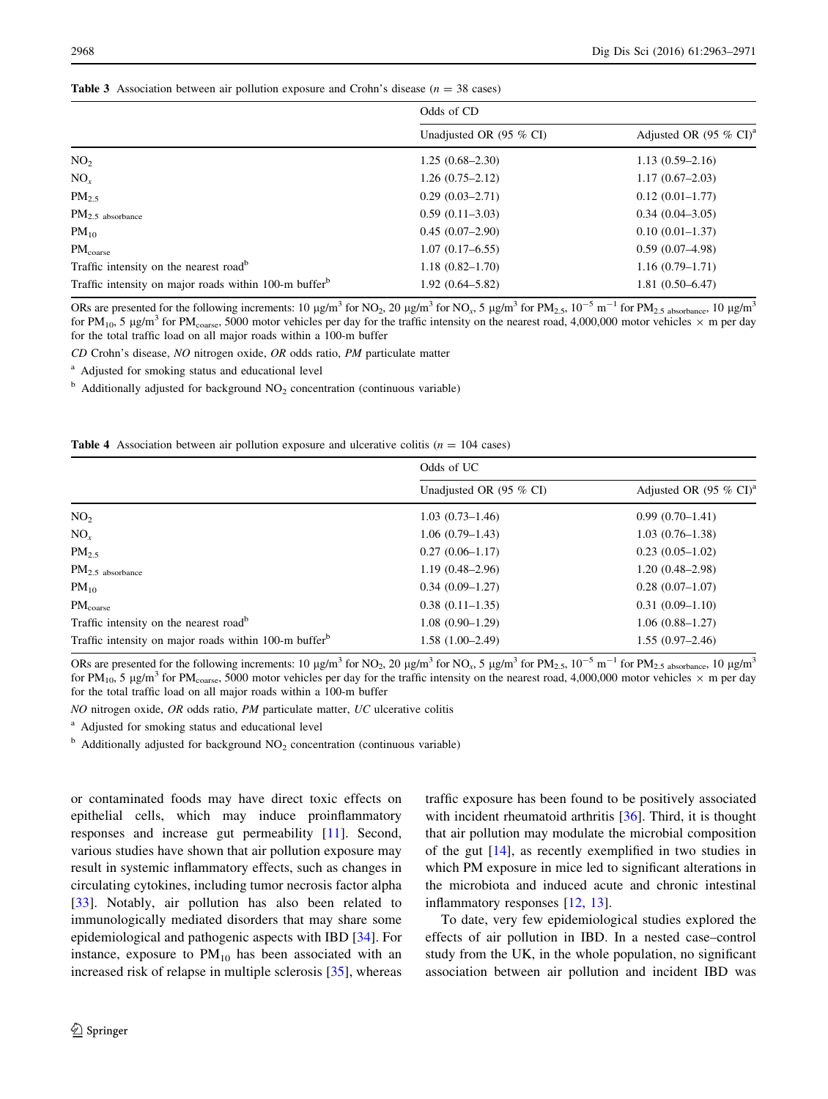|                                                                   | Odds of CD                |                                   |  |
|-------------------------------------------------------------------|---------------------------|-----------------------------------|--|
|                                                                   | Unadjusted OR $(95\%$ CI) | Adjusted OR $(95\% \text{ CI})^3$ |  |
| NO <sub>2</sub>                                                   | $1.25(0.68-2.30)$         | $1.13(0.59 - 2.16)$               |  |
| $NO_r$                                                            | $1.26(0.75-2.12)$         | $1.17(0.67-2.03)$                 |  |
| $PM_2$                                                            | $0.29(0.03-2.71)$         | $0.12(0.01-1.77)$                 |  |
| $PM_{2.5}$ absorbance                                             | $0.59(0.11-3.03)$         | $0.34(0.04-3.05)$                 |  |
| $PM_{10}$                                                         | $0.45(0.07-2.90)$         | $0.10(0.01-1.37)$                 |  |
| $PM_{\rm coarse}$                                                 | $1.07(0.17 - 6.55)$       | $0.59(0.07-4.98)$                 |  |
| Traffic intensity on the nearest road <sup>b</sup>                | $1.18(0.82 - 1.70)$       | $1.16(0.79-1.71)$                 |  |
| Traffic intensity on major roads within 100-m buffer <sup>b</sup> | $1.92(0.64 - 5.82)$       | $1.81(0.50 - 6.47)$               |  |

<span id="page-5-0"></span>**Table 3** Association between air pollution exposure and Crohn's disease ( $n = 38$  cases)

ORs are presented for the following increments:  $10 \mu\text{g/m}^3$  for NO<sub>2</sub>,  $20 \mu\text{g/m}^3$  for NO<sub>2</sub>,  $10 \mu\text{g/m}^3$  for NO<sub>2</sub>,  $10^{-5}$  m<sup>-1</sup> for PM<sub>2.5</sub> absorbance,  $10 \mu\text{g/m}^3$ for PM<sub>10</sub>, 5 µg/m<sup>3</sup> for PM<sub>coarse</sub>, 5000 motor vehicles per day for the traffic intensity on the nearest road, 4,000,000 motor vehicles  $\times$  m per day for the total traffic load on all major roads within a 100-m buffer

CD Crohn's disease, NO nitrogen oxide, OR odds ratio, PM particulate matter

<sup>a</sup> Adjusted for smoking status and educational level

 $<sup>b</sup>$  Additionally adjusted for background NO<sub>2</sub> concentration (continuous variable)</sup>

|  | <b>Table 4</b> Association between air pollution exposure and ulcerative colitis ( $n = 104$ cases) |  |  |  |  |  |  |  |  |  |  |
|--|-----------------------------------------------------------------------------------------------------|--|--|--|--|--|--|--|--|--|--|
|--|-----------------------------------------------------------------------------------------------------|--|--|--|--|--|--|--|--|--|--|

|                                                                   | Odds of UC                |                                            |  |
|-------------------------------------------------------------------|---------------------------|--------------------------------------------|--|
|                                                                   | Unadjusted OR $(95\%$ CI) | Adjusted OR $(95\% \text{ CI})^{\text{a}}$ |  |
| NO <sub>2</sub>                                                   | $1.03(0.73 - 1.46)$       | $0.99(0.70-1.41)$                          |  |
| $NO_r$                                                            | $1.06(0.79-1.43)$         | $1.03(0.76-1.38)$                          |  |
| $PM_{2.5}$                                                        | $0.27(0.06-1.17)$         | $0.23(0.05-1.02)$                          |  |
| $PM2.5$ absorbance                                                | $1.19(0.48 - 2.96)$       | $1.20(0.48-2.98)$                          |  |
| $PM_{10}$                                                         | $0.34(0.09-1.27)$         | $0.28(0.07-1.07)$                          |  |
| $PM_{\mathrm{coarse}}$                                            | $0.38(0.11-1.35)$         | $0.31(0.09-1.10)$                          |  |
| Traffic intensity on the nearest road <sup>b</sup>                | $1.08(0.90-1.29)$         | $1.06(0.88 - 1.27)$                        |  |
| Traffic intensity on major roads within 100-m buffer <sup>b</sup> | $1.58(1.00-2.49)$         | $1.55(0.97-2.46)$                          |  |

ORs are presented for the following increments: 10  $\mu$ g/m<sup>3</sup> for NO<sub>2</sub>, 20  $\mu$ g/m<sup>3</sup> for NO<sub>x</sub>, 5  $\mu$ g/m<sup>3</sup> for PM<sub>2.5</sub>, 10<sup>-5</sup> m<sup>-1</sup> for PM<sub>2.5</sub> absorbance, 10  $\mu$ g/m<sup>3</sup> for PM<sub>10</sub>, 5  $\mu\text{g/m}^3$  for PM<sub>coarse</sub>, 5000 motor vehicles per day for the traffic intensity on the nearest road, 4,000,000 motor vehicles  $\times$  m per day for the total traffic load on all major roads within a 100-m buffer

NO nitrogen oxide, OR odds ratio, PM particulate matter, UC ulcerative colitis

<sup>a</sup> Adjusted for smoking status and educational level

 $<sup>b</sup>$  Additionally adjusted for background NO<sub>2</sub> concentration (continuous variable)</sup>

or contaminated foods may have direct toxic effects on epithelial cells, which may induce proinflammatory responses and increase gut permeability [\[11](#page-7-0)]. Second, various studies have shown that air pollution exposure may result in systemic inflammatory effects, such as changes in circulating cytokines, including tumor necrosis factor alpha [\[33](#page-8-0)]. Notably, air pollution has also been related to immunologically mediated disorders that may share some epidemiological and pathogenic aspects with IBD [[34\]](#page-8-0). For instance, exposure to  $PM_{10}$  has been associated with an increased risk of relapse in multiple sclerosis [[35\]](#page-8-0), whereas traffic exposure has been found to be positively associated with incident rheumatoid arthritis [[36\]](#page-8-0). Third, it is thought that air pollution may modulate the microbial composition of the gut [[14\]](#page-8-0), as recently exemplified in two studies in which PM exposure in mice led to significant alterations in the microbiota and induced acute and chronic intestinal inflammatory responses [[12,](#page-7-0) [13\]](#page-8-0).

To date, very few epidemiological studies explored the effects of air pollution in IBD. In a nested case–control study from the UK, in the whole population, no significant association between air pollution and incident IBD was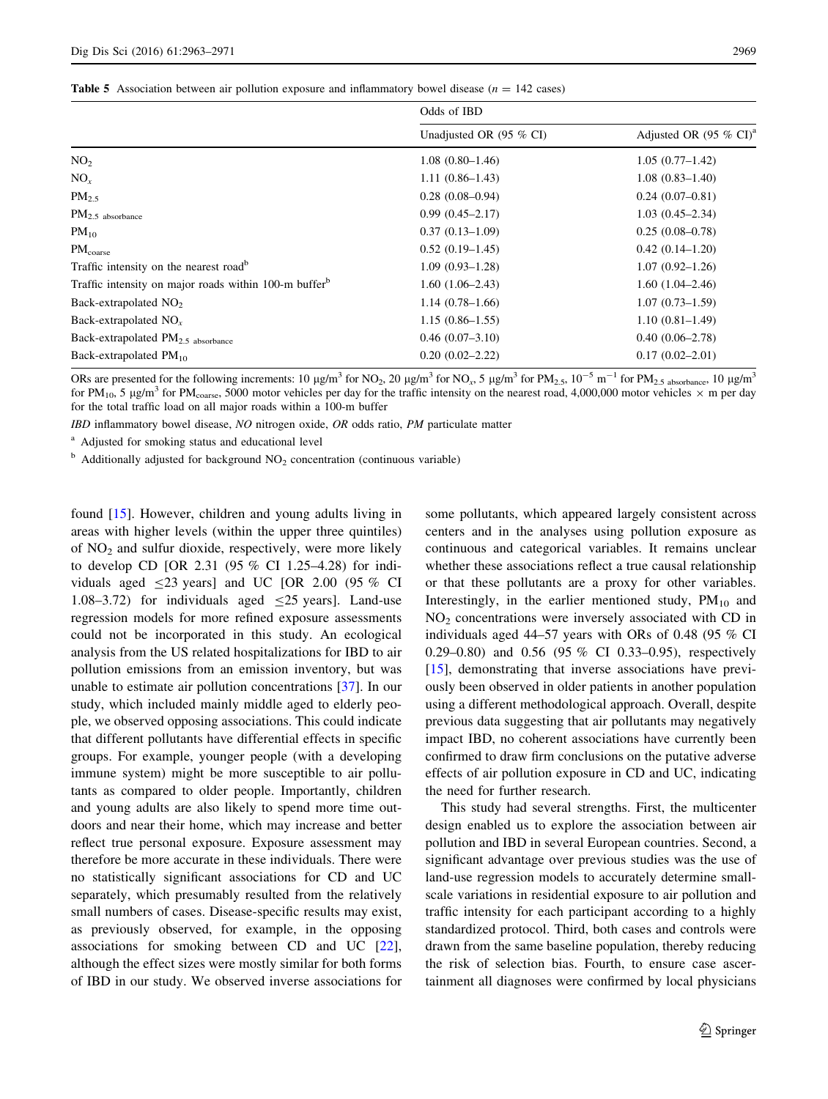<span id="page-6-0"></span>**Table 5** Association between air pollution exposure and inflammatory bowel disease  $(n = 142 \text{ cases})$ 

|                                                                   | Odds of IBD             |                                            |  |  |
|-------------------------------------------------------------------|-------------------------|--------------------------------------------|--|--|
|                                                                   | Unadjusted OR (95 % CI) | Adjusted OR $(95\% \text{ CI})^{\text{a}}$ |  |  |
| NO <sub>2</sub>                                                   | $1.08(0.80-1.46)$       | $1.05(0.77-1.42)$                          |  |  |
| $NO_{x}$                                                          | $1.11(0.86 - 1.43)$     | $1.08(0.83 - 1.40)$                        |  |  |
| $PM_{2.5}$                                                        | $0.28(0.08-0.94)$       | $0.24(0.07-0.81)$                          |  |  |
| $PM_{2.5}$ absorbance                                             | $0.99(0.45 - 2.17)$     | $1.03(0.45 - 2.34)$                        |  |  |
| $PM_{10}$                                                         | $0.37(0.13 - 1.09)$     | $0.25(0.08 - 0.78)$                        |  |  |
| $PM_{\mathrm{coarse}}$                                            | $0.52(0.19-1.45)$       | $0.42(0.14-1.20)$                          |  |  |
| Traffic intensity on the nearest road <sup>b</sup>                | $1.09(0.93 - 1.28)$     | $1.07(0.92 - 1.26)$                        |  |  |
| Traffic intensity on major roads within 100-m buffer <sup>b</sup> | $1.60(1.06-2.43)$       | $1.60(1.04-2.46)$                          |  |  |
| Back-extrapolated NO <sub>2</sub>                                 | $1.14(0.78-1.66)$       | $1.07(0.73 - 1.59)$                        |  |  |
| Back-extrapolated $NOr$                                           | $1.15(0.86 - 1.55)$     | $1.10(0.81 - 1.49)$                        |  |  |
| Back-extrapolated PM <sub>2.5</sub> absorbance                    | $0.46(0.07-3.10)$       | $0.40(0.06 - 2.78)$                        |  |  |
| Back-extrapolated $PM_{10}$                                       | $0.20(0.02 - 2.22)$     | $0.17(0.02 - 2.01)$                        |  |  |

ORs are presented for the following increments: 10 µg/m<sup>3</sup> for NO<sub>2</sub>, 20 µg/m<sup>3</sup> for NO<sub>x</sub>, 5 µg/m<sup>3</sup> for PM<sub>2.5</sub>, 10<sup>-5</sup> m<sup>-1</sup> for PM<sub>2.5</sub> absorbance, 10 µg/m<sup>3</sup> for PM<sub>10</sub>, 5 µg/m<sup>3</sup> for PM<sub>coarse</sub>, 5000 motor vehicles per day for the traffic intensity on the nearest road, 4,000,000 motor vehicles  $\times$  m per day for the total traffic load on all major roads within a 100-m buffer

IBD inflammatory bowel disease, NO nitrogen oxide, OR odds ratio, PM particulate matter

<sup>a</sup> Adjusted for smoking status and educational level

 $<sup>b</sup>$  Additionally adjusted for background NO<sub>2</sub> concentration (continuous variable)</sup>

found [\[15](#page-8-0)]. However, children and young adults living in areas with higher levels (within the upper three quintiles) of  $NO<sub>2</sub>$  and sulfur dioxide, respectively, were more likely to develop CD [OR 2.31 (95 % CI 1.25–4.28) for individuals aged  $\leq$ 23 years] and UC [OR 2.00 (95 % CI 1.08–3.72) for individuals aged  $\leq$ 25 years]. Land-use regression models for more refined exposure assessments could not be incorporated in this study. An ecological analysis from the US related hospitalizations for IBD to air pollution emissions from an emission inventory, but was unable to estimate air pollution concentrations [[37\]](#page-8-0). In our study, which included mainly middle aged to elderly people, we observed opposing associations. This could indicate that different pollutants have differential effects in specific groups. For example, younger people (with a developing immune system) might be more susceptible to air pollutants as compared to older people. Importantly, children and young adults are also likely to spend more time outdoors and near their home, which may increase and better reflect true personal exposure. Exposure assessment may therefore be more accurate in these individuals. There were no statistically significant associations for CD and UC separately, which presumably resulted from the relatively small numbers of cases. Disease-specific results may exist, as previously observed, for example, in the opposing associations for smoking between CD and UC [\[22](#page-8-0)], although the effect sizes were mostly similar for both forms of IBD in our study. We observed inverse associations for some pollutants, which appeared largely consistent across centers and in the analyses using pollution exposure as continuous and categorical variables. It remains unclear whether these associations reflect a true causal relationship or that these pollutants are a proxy for other variables. Interestingly, in the earlier mentioned study,  $PM_{10}$  and  $NO<sub>2</sub>$  concentrations were inversely associated with CD in individuals aged 44–57 years with ORs of 0.48 (95 % CI 0.29–0.80) and 0.56 (95 % CI 0.33–0.95), respectively [\[15](#page-8-0)], demonstrating that inverse associations have previously been observed in older patients in another population using a different methodological approach. Overall, despite previous data suggesting that air pollutants may negatively impact IBD, no coherent associations have currently been confirmed to draw firm conclusions on the putative adverse effects of air pollution exposure in CD and UC, indicating the need for further research.

This study had several strengths. First, the multicenter design enabled us to explore the association between air pollution and IBD in several European countries. Second, a significant advantage over previous studies was the use of land-use regression models to accurately determine smallscale variations in residential exposure to air pollution and traffic intensity for each participant according to a highly standardized protocol. Third, both cases and controls were drawn from the same baseline population, thereby reducing the risk of selection bias. Fourth, to ensure case ascertainment all diagnoses were confirmed by local physicians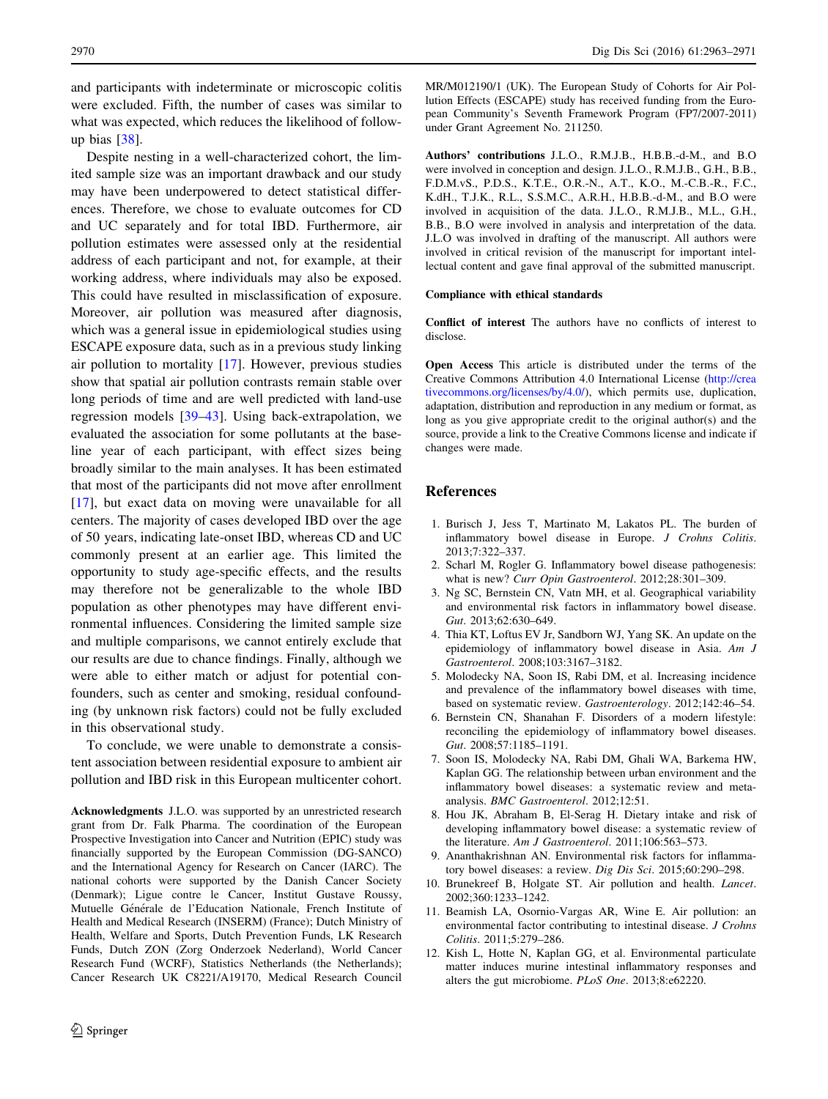<span id="page-7-0"></span>and participants with indeterminate or microscopic colitis were excluded. Fifth, the number of cases was similar to what was expected, which reduces the likelihood of followup bias [\[38](#page-8-0)].

Despite nesting in a well-characterized cohort, the limited sample size was an important drawback and our study may have been underpowered to detect statistical differences. Therefore, we chose to evaluate outcomes for CD and UC separately and for total IBD. Furthermore, air pollution estimates were assessed only at the residential address of each participant and not, for example, at their working address, where individuals may also be exposed. This could have resulted in misclassification of exposure. Moreover, air pollution was measured after diagnosis, which was a general issue in epidemiological studies using ESCAPE exposure data, such as in a previous study linking air pollution to mortality [[17\]](#page-8-0). However, previous studies show that spatial air pollution contrasts remain stable over long periods of time and are well predicted with land-use regression models [[39–43\]](#page-8-0). Using back-extrapolation, we evaluated the association for some pollutants at the baseline year of each participant, with effect sizes being broadly similar to the main analyses. It has been estimated that most of the participants did not move after enrollment [\[17](#page-8-0)], but exact data on moving were unavailable for all centers. The majority of cases developed IBD over the age of 50 years, indicating late-onset IBD, whereas CD and UC commonly present at an earlier age. This limited the opportunity to study age-specific effects, and the results may therefore not be generalizable to the whole IBD population as other phenotypes may have different environmental influences. Considering the limited sample size and multiple comparisons, we cannot entirely exclude that our results are due to chance findings. Finally, although we were able to either match or adjust for potential confounders, such as center and smoking, residual confounding (by unknown risk factors) could not be fully excluded in this observational study.

To conclude, we were unable to demonstrate a consistent association between residential exposure to ambient air pollution and IBD risk in this European multicenter cohort.

Acknowledgments J.L.O. was supported by an unrestricted research grant from Dr. Falk Pharma. The coordination of the European Prospective Investigation into Cancer and Nutrition (EPIC) study was financially supported by the European Commission (DG-SANCO) and the International Agency for Research on Cancer (IARC). The national cohorts were supported by the Danish Cancer Society (Denmark); Ligue contre le Cancer, Institut Gustave Roussy, Mutuelle Générale de l'Education Nationale, French Institute of Health and Medical Research (INSERM) (France); Dutch Ministry of Health, Welfare and Sports, Dutch Prevention Funds, LK Research Funds, Dutch ZON (Zorg Onderzoek Nederland), World Cancer Research Fund (WCRF), Statistics Netherlands (the Netherlands); Cancer Research UK C8221/A19170, Medical Research Council

MR/M012190/1 (UK). The European Study of Cohorts for Air Pollution Effects (ESCAPE) study has received funding from the European Community's Seventh Framework Program (FP7/2007-2011) under Grant Agreement No. 211250.

Authors' contributions J.L.O., R.M.J.B., H.B.B.-d-M., and B.O were involved in conception and design. J.L.O., R.M.J.B., G.H., B.B., F.D.M.vS., P.D.S., K.T.E., O.R.-N., A.T., K.O., M.-C.B.-R., F.C., K.dH., T.J.K., R.L., S.S.M.C., A.R.H., H.B.B.-d-M., and B.O were involved in acquisition of the data. J.L.O., R.M.J.B., M.L., G.H., B.B., B.O were involved in analysis and interpretation of the data. J.L.O was involved in drafting of the manuscript. All authors were involved in critical revision of the manuscript for important intellectual content and gave final approval of the submitted manuscript.

#### Compliance with ethical standards

Conflict of interest The authors have no conflicts of interest to disclose.

Open Access This article is distributed under the terms of the Creative Commons Attribution 4.0 International License ([http://crea](http://creativecommons.org/licenses/by/4.0/) [tivecommons.org/licenses/by/4.0/\)](http://creativecommons.org/licenses/by/4.0/), which permits use, duplication, adaptation, distribution and reproduction in any medium or format, as long as you give appropriate credit to the original author(s) and the source, provide a link to the Creative Commons license and indicate if changes were made.

# References

- 1. Burisch J, Jess T, Martinato M, Lakatos PL. The burden of inflammatory bowel disease in Europe. J Crohns Colitis. 2013;7:322–337.
- 2. Scharl M, Rogler G. Inflammatory bowel disease pathogenesis: what is new? Curr Opin Gastroenterol. 2012;28:301–309.
- 3. Ng SC, Bernstein CN, Vatn MH, et al. Geographical variability and environmental risk factors in inflammatory bowel disease. Gut. 2013;62:630–649.
- 4. Thia KT, Loftus EV Jr, Sandborn WJ, Yang SK. An update on the epidemiology of inflammatory bowel disease in Asia. Am J Gastroenterol. 2008;103:3167–3182.
- 5. Molodecky NA, Soon IS, Rabi DM, et al. Increasing incidence and prevalence of the inflammatory bowel diseases with time, based on systematic review. Gastroenterology. 2012;142:46–54.
- 6. Bernstein CN, Shanahan F. Disorders of a modern lifestyle: reconciling the epidemiology of inflammatory bowel diseases. Gut. 2008;57:1185–1191.
- 7. Soon IS, Molodecky NA, Rabi DM, Ghali WA, Barkema HW, Kaplan GG. The relationship between urban environment and the inflammatory bowel diseases: a systematic review and metaanalysis. BMC Gastroenterol. 2012;12:51.
- 8. Hou JK, Abraham B, El-Serag H. Dietary intake and risk of developing inflammatory bowel disease: a systematic review of the literature. Am J Gastroenterol. 2011;106:563-573.
- 9. Ananthakrishnan AN. Environmental risk factors for inflammatory bowel diseases: a review. Dig Dis Sci. 2015;60:290–298.
- 10. Brunekreef B, Holgate ST. Air pollution and health. Lancet. 2002;360:1233–1242.
- 11. Beamish LA, Osornio-Vargas AR, Wine E. Air pollution: an environmental factor contributing to intestinal disease. J Crohns Colitis. 2011;5:279–286.
- 12. Kish L, Hotte N, Kaplan GG, et al. Environmental particulate matter induces murine intestinal inflammatory responses and alters the gut microbiome. PLoS One. 2013;8:e62220.